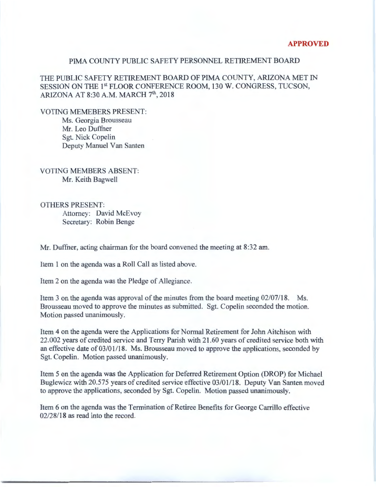## PIMA COUNTY PUBLIC SAFETY PERSONNEL RETIREMENT BOARD

THE PUBLIC SAFETY RETIREMENT BOARD OF PIMA COUNTY, ARIZONA MET IN SESSION ON THE 1<sup>st</sup> FLOOR CONFERENCE ROOM, 130 W. CONGRESS, TUCSON, ARIZONA AT 8:30 A.M. MARCH 7<sup>th</sup>, 2018

VOTING MEMEBERS PRESENT: Ms. Georgia Brousseau Mr. Leo Duffner Sgt. Nick Copelin Deputy Manuel Van Santen

VOTING MEMBERS ABSENT: Mr. Keith Bagwell

OTHERS PRESENT: Attorney: David McEvoy Secretary: Robin Benge

Mr. Duffner, acting chairman for the board convened the meeting at 8:32 am.

Item 1 on the agenda was a Roll Call as listed above.

Item 2 on the agenda was the Pledge of Allegiance.

Item 3 on the agenda was approval of the minutes from the board meeting 02/07/18. Ms. Brousseau moved to approve the minutes as submitted. Sgt. Copelin seconded the motion. Motion passed unanimously.

Item 4 on the agenda were the Applications for Normal Retirement for John Aitchison with 22.002 years of credited service and Terry Parish with 21.60 years of credited service both with an effective date of 03/01/18. Ms. Brousseau moved to approve the applications, seconded by Sgt. Copelin. Motion passed unanimously.

Item 5 on the agenda was the Application for Deferred Retirement Option (DROP) for Michael Buglewicz with 20.575 years of credited service effective 03/01/18. Deputy Van Santen moved to approve the applications, seconded by Sgt. Copelin. Motion passed unanimously.

Item 6 on the agenda was the Termination of Retiree Benefits for George Carrillo effective 02/28/18 as read into the record.